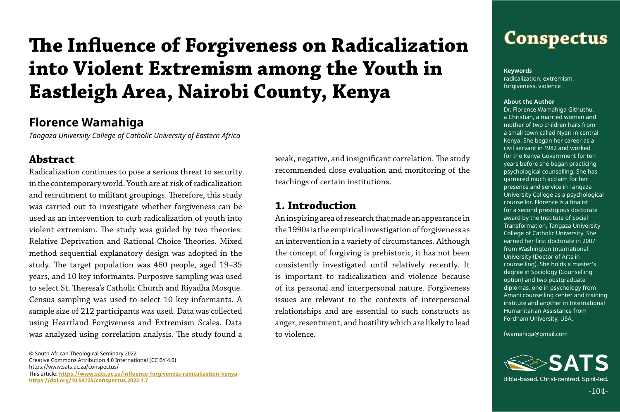## **Conspectus**

© South African Theological Seminary 2022 Creative Commons Attribution 4.0 International (CC BY 4.0) https://www.sats.ac.za/conspectus/ This article: **[https://www.sats.ac.za/](https://www.sats.ac.za/influence-forgiveness-radicalization-kenya)influence-forgiveness-radicalization-kenya [https://doi.org/10.54725/conspectus.2022.1.7](https://doi.org/10.54725/conspectus.2022.1.7
)**

**Keywords** radicalization, extremism, forgiveness, violence

#### **About the Author**

Dr. Florence Wamahiga Githuthu, a Christian, a married woman and mother of two children hails from a small town called Nyeri in central Kenya. She began her career as a civil servant in 1982 and worked for the Kenya Government for ten years before she began practicing psychological counselling. She has garnered much acclaim for her presence and service in Tangaza University College as a psychological counsellor. Florence is a finalist for a second prestigious doctorate award by the Institute of Social Transformation, Tangaza University College of Catholic University. She earned her first doctorate in 2007 from Washington International University (Doctor of Arts in counselling). She holds a master's degree in Sociology (Counselling option) and two postgraduate diplomas, one in psychology from Amani counselling center and training institute and another in International Humanitarian Assistance from Fordham University, USA.

fwamahiga@gmail.com



Bible-based, Christ-centred, Spirit-led,

 $-104-$ 

## **Florence Wamahiga**

*Tangaza University College of Catholic University of Eastern Africa* 

#### **Abstract**

Radicalization continues to pose a serious threat to security in the contemporary world. Youth are at risk of radicalization and recruitment to militant groupings. Therefore, this study was carried out to investigate whether forgiveness can be used as an intervention to curb radicalization of youth into violent extremism. The study was guided by two theories: Relative Deprivation and Rational Choice Theories. Mixed method sequential explanatory design was adopted in the study. The target population was 460 people, aged 19–35 years, and 10 key informants. Purposive sampling was used to select St. Theresa's Catholic Church and Riyadha Mosque. Census sampling was used to select 10 key informants. A sample size of 212 participants was used. Data was collected using Heartland Forgiveness and Extremism Scales. Data was analyzed using correlation analysis. The study found a

weak, negative, and insignificant correlation. The study recommended close evaluation and monitoring of the teachings of certain institutions.

#### **1. Introduction**

An inspiring area of research that made an appearance in the 1990s is the empirical investigation of forgiveness as an intervention in a variety of circumstances. Although the concept of forgiving is prehistoric, it has not been consistently investigated until relatively recently. It is important to radicalization and violence because of its personal and interpersonal nature. Forgiveness issues are relevant to the contexts of interpersonal relationships and are essential to such constructs as anger, resentment, and hostility which are likely to lead to violence.

# **The Influence of Forgiveness on Radicalization into Violent Extremism among the Youth in Eastleigh Area, Nairobi County, Kenya**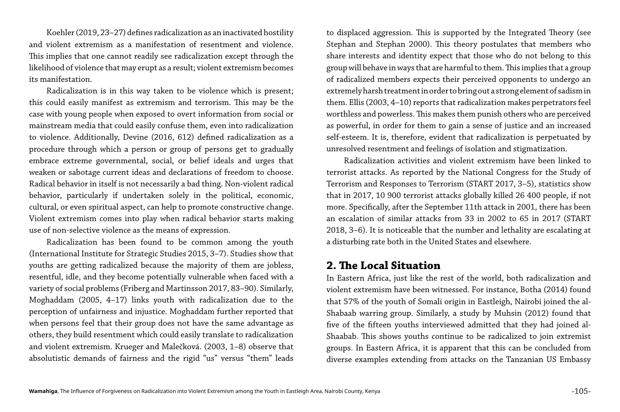Koehler (2019, 23–27) defines radicalization as an inactivated hostility and violent extremism as a manifestation of resentment and violence. This implies that one cannot readily see radicalization except through the likelihood of violence that may erupt as a result; violent extremism becomes its manifestation.

Radicalization is in this way taken to be violence which is present; this could easily manifest as extremism and terrorism. This may be the case with young people when exposed to overt information from social or mainstream media that could easily confuse them, even into radicalization to violence. Additionally, Devine (2016, 612) defined radicalization as a procedure through which a person or group of persons get to gradually embrace extreme governmental, social, or belief ideals and urges that weaken or sabotage current ideas and declarations of freedom to choose. Radical behavior in itself is not necessarily a bad thing. Non-violent radical behavior, particularly if undertaken solely in the political, economic, cultural, or even spiritual aspect, can help to promote constructive change. Violent extremism comes into play when radical behavior starts making use of non-selective violence as the means of expression.

Radicalization has been found to be common among the youth (International Institute for Strategic Studies 2015, 3–7). Studies show that youths are getting radicalized because the majority of them are jobless, resentful, idle, and they become potentially vulnerable when faced with a variety of social problems (Friberg and Martinsson 2017, 83–90). Similarly, Moghaddam (2005, 4–17) links youth with radicalization due to the perception of unfairness and injustice. Moghaddam further reported that when persons feel that their group does not have the same advantage as others, they build resentment which could easily translate to radicalization and violent extremism. Krueger and Malečková. (2003, 1–8) observe that absolutistic demands of fairness and the rigid "us" versus "them" leads

to displaced aggression. This is supported by the Integrated Theory (see Stephan and Stephan 2000). This theory postulates that members who share interests and identity expect that those who do not belong to this group will behave in ways that are harmful to them. This implies that a group of radicalized members expects their perceived opponents to undergo an extremely harsh treatment in order to bring out a strong element of sadism in them. Ellis (2003, 4–10) reports that radicalization makes perpetrators feel worthless and powerless. This makes them punish others who are perceived as powerful, in order for them to gain a sense of justice and an increased self-esteem. It is, therefore, evident that radicalization is perpetuated by unresolved resentment and feelings of isolation and stigmatization.

Radicalization activities and violent extremism have been linked to terrorist attacks. As reported by the National Congress for the Study of Terrorism and Responses to Terrorism (START 2017, 3–5), statistics show that in 2017, 10 900 terrorist attacks globally killed 26 400 people, if not more. Specifically, after the September 11th attack in 2001, there has been an escalation of similar attacks from 33 in 2002 to 65 in 2017 (START 2018, 3–6). It is noticeable that the number and lethality are escalating at a disturbing rate both in the United States and elsewhere.

#### **2. The Local Situation**

In Eastern Africa, just like the rest of the world, both radicalization and violent extremism have been witnessed. For instance, Botha (2014) found that 57% of the youth of Somali origin in Eastleigh, Nairobi joined the al-Shabaab warring group. Similarly, a study by Muhsin (2012) found that five of the fifteen youths interviewed admitted that they had joined al-Shaabab. This shows youths continue to be radicalized to join extremist groups. In Eastern Africa, it is apparent that this can be concluded from diverse examples extending from attacks on the Tanzanian US Embassy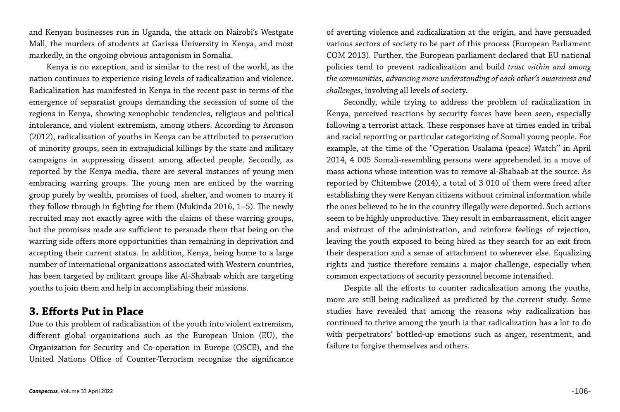and Kenyan businesses run in Uganda, the attack on Nairobi's Westgate Mall, the murders of students at Garissa University in Kenya, and most markedly, in the ongoing obvious antagonism in Somalia.

Kenya is no exception, and is similar to the rest of the world, as the nation continues to experience rising levels of radicalization and violence. Radicalization has manifested in Kenya in the recent past in terms of the emergence of separatist groups demanding the secession of some of the regions in Kenya, showing xenophobic tendencies, religious and political intolerance, and violent extremism, among others. According to Aronson (2012), radicalization of youths in Kenya can be attributed to persecution of minority groups, seen in extrajudicial killings by the state and military campaigns in suppressing dissent among affected people. Secondly, as reported by the Kenya media, there are several instances of young men embracing warring groups. The young men are enticed by the warring group purely by wealth, promises of food, shelter, and women to marry if they follow through in fighting for them (Mukinda 2016, 1–5). The newly recruited may not exactly agree with the claims of these warring groups, but the promises made are sufficient to persuade them that being on the warring side offers more opportunities than remaining in deprivation and accepting their current status. In addition, Kenya, being home to a large number of international organizations associated with Western countries, has been targeted by militant groups like Al-Shabaab which are targeting youths to join them and help in accomplishing their missions.

#### **3. Efforts Put in Place**

Due to this problem of radicalization of the youth into violent extremism, different global organizations such as the European Union (EU), the Organization for Security and Co-operation in Europe (OSCE), and the United Nations Office of Counter-Terrorism recognize the significance

of averting violence and radicalization at the origin, and have persuaded various sectors of society to be part of this process (European Parliament COM 2013). Further, the European parliament declared that EU national policies tend to prevent radicalization and build *trust within and among the communities, advancing more understanding of each other's awareness and challenges*, involving all levels of society.

Secondly, while trying to address the problem of radicalization in Kenya, perceived reactions by security forces have been seen, especially following a terrorist attack. These responses have at times ended in tribal and racial reporting or particular categorizing of Somali young people. For example, at the time of the "Operation Usalama (peace) Watch'' in April 2014, 4 005 Somali-resembling persons were apprehended in a move of mass actions whose intention was to remove al-Shabaab at the source. As reported by Chitembwe (2014), a total of 3 010 of them were freed after establishing they were Kenyan citizens without criminal information while the ones believed to be in the country illegally were deported. Such actions seem to be highly unproductive. They result in embarrassment, elicit anger and mistrust of the administration, and reinforce feelings of rejection, leaving the youth exposed to being hired as they search for an exit from their desperation and a sense of attachment to wherever else. Equalizing rights and justice therefore remains a major challenge, especially when common expectations of security personnel become intensified.

Despite all the efforts to counter radicalization among the youths, more are still being radicalized as predicted by the current study. Some studies have revealed that among the reasons why radicalization has continued to thrive among the youth is that radicalization has a lot to do with perpetrators' bottled-up emotions such as anger, resentment, and failure to forgive themselves and others.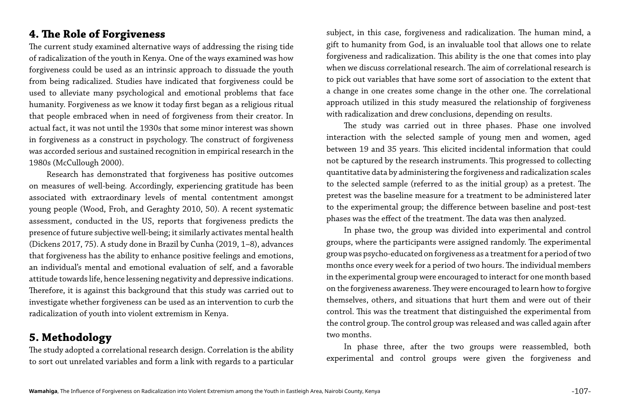### **4. The Role of Forgiveness**

The current study examined alternative ways of addressing the rising tide of radicalization of the youth in Kenya. One of the ways examined was how forgiveness could be used as an intrinsic approach to dissuade the youth from being radicalized. Studies have indicated that forgiveness could be used to alleviate many psychological and emotional problems that face humanity. Forgiveness as we know it today first began as a religious ritual that people embraced when in need of forgiveness from their creator. In actual fact, it was not until the 1930s that some minor interest was shown in forgiveness as a construct in psychology. The construct of forgiveness was accorded serious and sustained recognition in empirical research in the 1980s (McCullough 2000).

Research has demonstrated that forgiveness has positive outcomes on measures of well-being. Accordingly, experiencing gratitude has been associated with extraordinary levels of mental contentment amongst young people (Wood, Froh, and Geraghty 2010, 50). A recent systematic assessment, conducted in the US, reports that forgiveness predicts the presence of future subjective well-being; it similarly activates mental health (Dickens 2017, 75). A study done in Brazil by Cunha (2019, 1–8), advances that forgiveness has the ability to enhance positive feelings and emotions, an individual's mental and emotional evaluation of self, and a favorable attitude towards life, hence lessening negativity and depressive indications. Therefore, it is against this background that this study was carried out to investigate whether forgiveness can be used as an intervention to curb the radicalization of youth into violent extremism in Kenya.

#### **5. Methodology**

The study adopted a correlational research design. Correlation is the ability to sort out unrelated variables and form a link with regards to a particular subject, in this case, forgiveness and radicalization. The human mind, a gift to humanity from God, is an invaluable tool that allows one to relate forgiveness and radicalization. This ability is the one that comes into play when we discuss correlational research. The aim of correlational research is to pick out variables that have some sort of association to the extent that a change in one creates some change in the other one. The correlational approach utilized in this study measured the relationship of forgiveness with radicalization and drew conclusions, depending on results.

The study was carried out in three phases. Phase one involved interaction with the selected sample of young men and women, aged between 19 and 35 years. This elicited incidental information that could not be captured by the research instruments. This progressed to collecting quantitative data by administering the forgiveness and radicalization scales to the selected sample (referred to as the initial group) as a pretest. The pretest was the baseline measure for a treatment to be administered later to the experimental group; the difference between baseline and post-test phases was the effect of the treatment. The data was then analyzed.

In phase two, the group was divided into experimental and control groups, where the participants were assigned randomly. The experimental group was psycho-educated on forgiveness as a treatment for a period of two months once every week for a period of two hours. The individual members in the experimental group were encouraged to interact for one month based on the forgiveness awareness. They were encouraged to learn how to forgive themselves, others, and situations that hurt them and were out of their control. This was the treatment that distinguished the experimental from the control group. The control group was released and was called again after two months.

In phase three, after the two groups were reassembled, both experimental and control groups were given the forgiveness and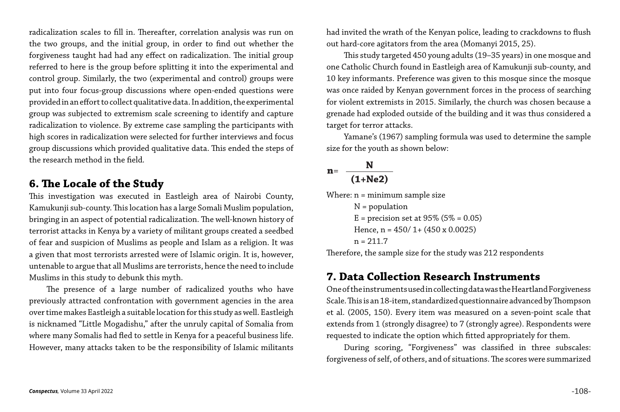radicalization scales to fill in. Thereafter, correlation analysis was run on the two groups, and the initial group, in order to find out whether the forgiveness taught had had any effect on radicalization. The initial group referred to here is the group before splitting it into the experimental and control group. Similarly, the two (experimental and control) groups were put into four focus-group discussions where open-ended questions were provided in an effort to collect qualitative data. In addition, the experimental group was subjected to extremism scale screening to identify and capture radicalization to violence. By extreme case sampling the participants with high scores in radicalization were selected for further interviews and focus group discussions which provided qualitative data. This ended the steps of the research method in the field.

#### **6. The Locale of the Study**

This investigation was executed in Eastleigh area of Nairobi County, Kamukunji sub-county. This location has a large Somali Muslim population, bringing in an aspect of potential radicalization. The well-known history of terrorist attacks in Kenya by a variety of militant groups created a seedbed of fear and suspicion of Muslims as people and Islam as a religion. It was a given that most terrorists arrested were of Islamic origin. It is, however, untenable to argue that all Muslims are terrorists, hence the need to include Muslims in this study to debunk this myth.

Where: n = minimum sample size  $N =$  population  $E = precision set at 95% (5% = 0.05)$ Hence,  $n = 450/1 + (450 \times 0.0025)$  $n = 211.7$ 

The presence of a large number of radicalized youths who have previously attracted confrontation with government agencies in the area over time makes Eastleigh a suitable location for this study as well. Eastleigh is nicknamed "Little Mogadishu," after the unruly capital of Somalia from where many Somalis had fled to settle in Kenya for a peaceful business life. However, many attacks taken to be the responsibility of Islamic militants

had invited the wrath of the Kenyan police, leading to crackdowns to flush out hard-core agitators from the area (Momanyi 2015, 25). This study targeted 450 young adults (19–35 years) in one mosque and one Catholic Church found in Eastleigh area of Kamukunji sub-county, and 10 key informants. Preference was given to this mosque since the mosque was once raided by Kenyan government forces in the process of searching for violent extremists in 2015. Similarly, the church was chosen because a grenade had exploded outside of the building and it was thus considered a target for terror attacks.

Yamane's (1967) sampling formula was used to determine the sample size for the youth as shown below:

$$
n = \frac{N}{(1+Ne2)}
$$

Therefore, the sample size for the study was 212 respondents

#### **7. Data Collection Research Instruments**

One of the instruments used in collecting data was the Heartland Forgiveness Scale. This is an 18-item, standardized questionnaire advanced by Thompson et al. (2005, 150). Every item was measured on a seven-point scale that extends from 1 (strongly disagree) to 7 (strongly agree). Respondents were requested to indicate the option which fitted appropriately for them.

During scoring, "Forgiveness" was classified in three subscales: forgiveness of self, of others, and of situations. The scores were summarized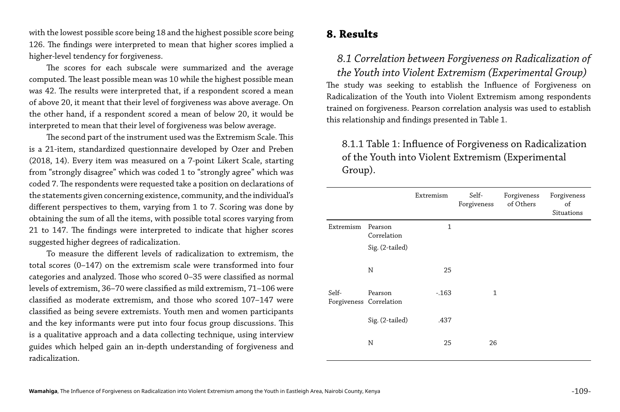#### **8. Results**

#### *8.1 Correlation between Forgiveness on Radicalization of the Youth into Violent Extremism (Experimental Group)*

The study was seeking to establish the Influence of Forgiveness on Radicalization of the Youth into Violent Extremism among respondents trained on forgiveness. Pearson correlation analysis was used to establish this relationship and findings presented in Table 1.

#### 8.1.1 Table 1: Influence of Forgiveness on Radicalization of the Youth into Violent Extremism (Experimental Group).

|                                  |                                           | Extremism    | Self-<br>Forgiveness | Forgiveness<br>of Others | Forgiveness<br>of<br>Situations |
|----------------------------------|-------------------------------------------|--------------|----------------------|--------------------------|---------------------------------|
| Extremism                        | Pearson<br>Correlation<br>Sig. (2-tailed) | $\mathbf{1}$ |                      |                          |                                 |
|                                  | $\mathbf N$                               | 25           |                      |                          |                                 |
| Self-<br>Forgiveness Correlation | Pearson                                   | $-0.163$     | $\mathbf{1}$         |                          |                                 |
|                                  | Sig. (2-tailed)                           | .437         |                      |                          |                                 |
|                                  | $\mathbf N$                               | 25           | 26                   |                          |                                 |

with the lowest possible score being 18 and the highest possible score being 126. The findings were interpreted to mean that higher scores implied a higher-level tendency for forgiveness.

The scores for each subscale were summarized and the average computed. The least possible mean was 10 while the highest possible mean was 42. The results were interpreted that, if a respondent scored a mean of above 20, it meant that their level of forgiveness was above average. On the other hand, if a respondent scored a mean of below 20, it would be interpreted to mean that their level of forgiveness was below average.

The second part of the instrument used was the Extremism Scale. This is a 21-item, standardized questionnaire developed by Ozer and Preben (2018, 14). Every item was measured on a 7-point Likert Scale, starting from "strongly disagree" which was coded 1 to "strongly agree" which was coded 7. The respondents were requested take a position on declarations of the statements given concerning existence, community, and the individual's different perspectives to them, varying from 1 to 7. Scoring was done by obtaining the sum of all the items, with possible total scores varying from 21 to 147. The findings were interpreted to indicate that higher scores suggested higher degrees of radicalization.

To measure the different levels of radicalization to extremism, the total scores (0–147) on the extremism scale were transformed into four categories and analyzed. Those who scored 0–35 were classified as normal levels of extremism, 36–70 were classified as mild extremism, 71–106 were classified as moderate extremism, and those who scored 107–147 were classified as being severe extremists. Youth men and women participants and the key informants were put into four focus group discussions. This is a qualitative approach and a data collecting technique, using interview guides which helped gain an in-depth understanding of forgiveness and radicalization.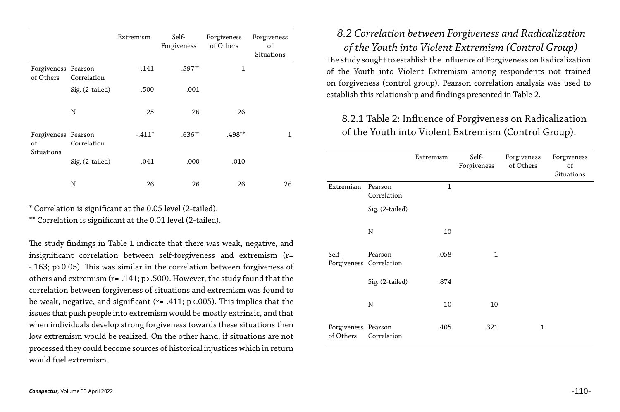|                                                |                 | Extremism | Self-<br>Forgiveness | Forgiveness<br>of Others | Forgiveness<br>of<br>Situations |
|------------------------------------------------|-----------------|-----------|----------------------|--------------------------|---------------------------------|
| Forgiveness Pearson<br>of Others               | Correlation     | $-0.141$  | $.597**$             | 1                        |                                 |
|                                                | Sig. (2-tailed) | .500      | .001                 |                          |                                 |
|                                                | $\mathbf N$     | 25        | 26                   | 26                       |                                 |
| Forgiveness Pearson<br>of<br><b>Situations</b> | Correlation     | $-.411*$  | $.636**$             | .498**                   | $\mathbf{1}$                    |
|                                                | Sig. (2-tailed) | .041      | .000                 | .010                     |                                 |
|                                                | N               | 26        | 26                   | 26                       | 26                              |

\* Correlation is significant at the 0.05 level (2-tailed).

\*\* Correlation is significant at the 0.01 level (2-tailed).

The study findings in Table 1 indicate that there was weak, negative, and insignificant correlation between self-forgiveness and extremism (r= -.163; p>0.05). This was similar in the correlation between forgiveness of others and extremism (r=-.141; p>.500). However, the study found that the correlation between forgiveness of situations and extremism was found to be weak, negative, and significant (r=-.411; p<.005). This implies that the issues that push people into extremism would be mostly extrinsic, and that when individuals develop strong forgiveness towards these situations then low extremism would be realized. On the other hand, if situations are not processed they could become sources of historical injustices which in return would fuel extremism.

*8.2 Correlation between Forgiveness and Radicalization of the Youth into Violent Extremism (Control Group)* The study sought to establish the Influence of Forgiveness on Radicalization of the Youth into Violent Extremism among respondents not trained on forgiveness (control group). Pearson correlation analysis was used to establish this relationship and findings presented in Table 2.

#### 8.2.1 Table 2: Influence of Forgiveness on Radicalization of the Youth into Violent Extremism (Control Group).

Extremism Pearson Correlation

Sig. (2-tailed)

|                        | Extremism    | Self-<br>Forgiveness | Forgiveness<br>of Others | Forgiveness<br>of<br>Situations |
|------------------------|--------------|----------------------|--------------------------|---------------------------------|
| Pearson<br>Correlation | $\mathbf{1}$ |                      |                          |                                 |
| Sig. (2-tailed)        |              |                      |                          |                                 |
| N                      | 10           |                      |                          |                                 |
| Pearson<br>Correlation | .058         | $\mathbf{1}$         |                          |                                 |
| Sig. (2-tailed)        | .874         |                      |                          |                                 |
| N                      | 10           | 10                   |                          |                                 |
| Pearson<br>Correlation | .405         | .321                 | $\mathbf{1}$             |                                 |

Self-Forgiveness Correlation Pearson

 $Sig. (2-tailed)$ 

Forgiveness Pearson of Others Correlation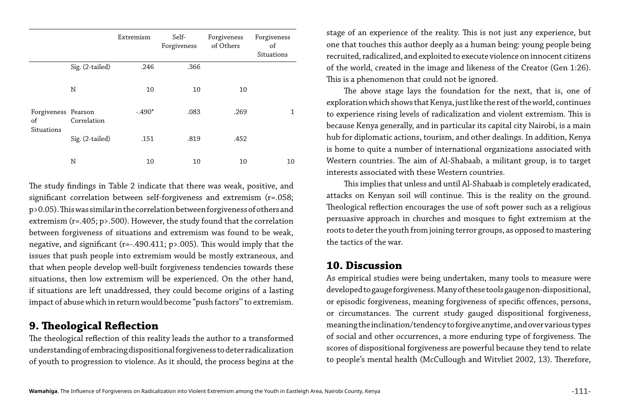|                                         |                 | Extremism | Self-<br>Forgiveness | Forgiveness<br>of Others | Forgiveness<br>of<br>Situations |
|-----------------------------------------|-----------------|-----------|----------------------|--------------------------|---------------------------------|
|                                         | Sig. (2-tailed) | .246      | .366                 |                          |                                 |
| Forgiveness Pearson<br>of<br>Situations | N               | 10        | 10                   | 10                       |                                 |
|                                         | Correlation     | $-.490*$  | .083                 | .269                     | 1                               |
|                                         | Sig. (2-tailed) | .151      | .819                 | .452                     |                                 |
|                                         | N               | 10        | 10                   | 10                       | 10                              |

The study findings in Table 2 indicate that there was weak, positive, and significant correlation between self-forgiveness and extremism (r=.058; p>0.05). This was similar in the correlation between forgiveness of others and extremism (r=.405; p>.500). However, the study found that the correlation between forgiveness of situations and extremism was found to be weak, negative, and significant (r=-.490.411; p>.005). This would imply that the issues that push people into extremism would be mostly extraneous, and that when people develop well-built forgiveness tendencies towards these situations, then low extremism will be experienced. On the other hand, if situations are left unaddressed, they could become origins of a lasting impact of abuse which in return would become "push factors'' to extremism.

#### **9. Theological Reflection**

The theological reflection of this reality leads the author to a transformed understanding of embracing dispositional forgiveness to deter radicalization of youth to progression to violence. As it should, the process begins at the stage of an experience of the reality. This is not just any experience, but one that touches this author deeply as a human being: young people being recruited, radicalized, and exploited to execute violence on innocent citizens of the world, created in the image and likeness of the Creator (Gen 1:26). This is a phenomenon that could not be ignored.

The above stage lays the foundation for the next, that is, one of exploration which shows that Kenya, just like the rest of the world, continues to experience rising levels of radicalization and violent extremism. This is because Kenya generally, and in particular its capital city Nairobi, is a main hub for diplomatic actions, tourism, and other dealings. In addition, Kenya is home to quite a number of international organizations associated with Western countries. The aim of Al-Shabaab, a militant group, is to target interests associated with these Western countries.

This implies that unless and until Al-Shabaab is completely eradicated, attacks on Kenyan soil will continue. This is the reality on the ground. Theological reflection encourages the use of soft power such as a religious persuasive approach in churches and mosques to fight extremism at the roots to deter the youth from joining terror groups, as opposed to mastering the tactics of the war.

#### **10. Discussion**

As empirical studies were being undertaken, many tools to measure were developed to gauge forgiveness. Many of these tools gauge non-dispositional, or episodic forgiveness, meaning forgiveness of specific offences, persons, or circumstances. The current study gauged dispositional forgiveness, meaning the inclination/tendency to forgive anytime, and over various types of social and other occurrences, a more enduring type of forgiveness. The scores of dispositional forgiveness are powerful because they tend to relate to people's mental health (McCullough and Witvliet 2002, 13). Therefore,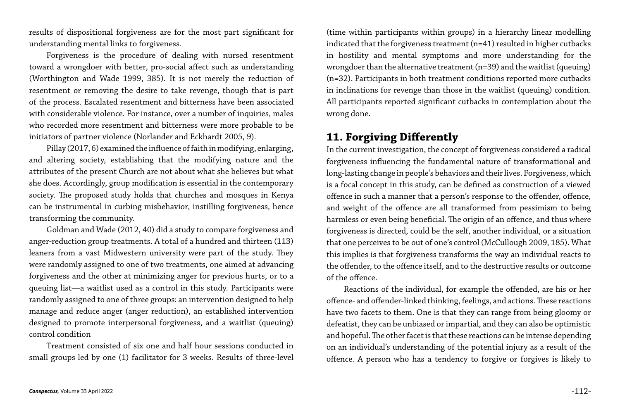results of dispositional forgiveness are for the most part significant for understanding mental links to forgiveness.

Forgiveness is the procedure of dealing with nursed resentment toward a wrongdoer with better, pro-social affect such as understanding (Worthington and Wade 1999, 385). It is not merely the reduction of resentment or removing the desire to take revenge, though that is part of the process. Escalated resentment and bitterness have been associated with considerable violence. For instance, over a number of inquiries, males who recorded more resentment and bitterness were more probable to be initiators of partner violence (Norlander and Eckhardt 2005, 9).

Pillay (2017, 6) examined the influence of faith in modifying, enlarging, and altering society, establishing that the modifying nature and the attributes of the present Church are not about what she believes but what she does. Accordingly, group modification is essential in the contemporary society. The proposed study holds that churches and mosques in Kenya can be instrumental in curbing misbehavior, instilling forgiveness, hence transforming the community.

Goldman and Wade (2012, 40) did a study to compare forgiveness and anger-reduction group treatments. A total of a hundred and thirteen (113) leaners from a vast Midwestern university were part of the study. They were randomly assigned to one of two treatments, one aimed at advancing forgiveness and the other at minimizing anger for previous hurts, or to a queuing list—a waitlist used as a control in this study. Participants were randomly assigned to one of three groups: an intervention designed to help manage and reduce anger (anger reduction), an established intervention designed to promote interpersonal forgiveness, and a waitlist (queuing) control condition

Treatment consisted of six one and half hour sessions conducted in small groups led by one (1) facilitator for 3 weeks. Results of three-level

(time within participants within groups) in a hierarchy linear modelling indicated that the forgiveness treatment (n=41) resulted in higher cutbacks in hostility and mental symptoms and more understanding for the wrongdoer than the alternative treatment (n=39) and the waitlist (queuing) (n=32). Participants in both treatment conditions reported more cutbacks in inclinations for revenge than those in the waitlist (queuing) condition. All participants reported significant cutbacks in contemplation about the wrong done.

### **11. Forgiving Differently**

In the current investigation, the concept of forgiveness considered a radical forgiveness influencing the fundamental nature of transformational and long-lasting change in people's behaviors and their lives. Forgiveness, which is a focal concept in this study, can be defined as construction of a viewed offence in such a manner that a person's response to the offender, offence, and weight of the offence are all transformed from pessimism to being harmless or even being beneficial. The origin of an offence, and thus where forgiveness is directed, could be the self, another individual, or a situation that one perceives to be out of one's control (McCullough 2009, 185). What this implies is that forgiveness transforms the way an individual reacts to the offender, to the offence itself, and to the destructive results or outcome of the offence.

Reactions of the individual, for example the offended, are his or her offence- and offender-linked thinking, feelings, and actions. These reactions have two facets to them. One is that they can range from being gloomy or defeatist, they can be unbiased or impartial, and they can also be optimistic and hopeful. The other facet is that these reactions can be intense depending on an individual's understanding of the potential injury as a result of the offence. A person who has a tendency to forgive or forgives is likely to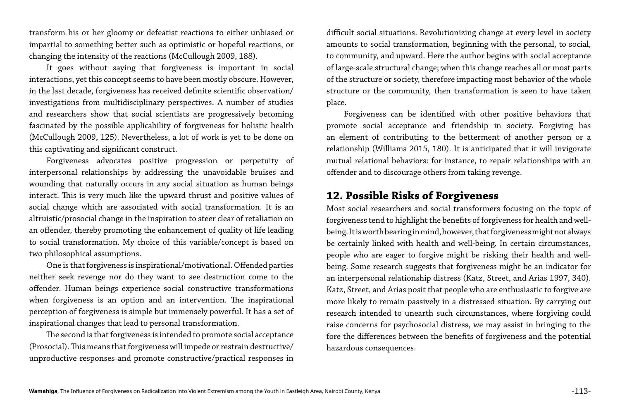transform his or her gloomy or defeatist reactions to either unbiased or impartial to something better such as optimistic or hopeful reactions, or changing the intensity of the reactions (McCullough 2009, 188).

It goes without saying that forgiveness is important in social interactions, yet this concept seems to have been mostly obscure. However, in the last decade, forgiveness has received definite scientific observation/ investigations from multidisciplinary perspectives. A number of studies and researchers show that social scientists are progressively becoming fascinated by the possible applicability of forgiveness for holistic health (McCullough 2009, 125). Nevertheless, a lot of work is yet to be done on this captivating and significant construct.

Forgiveness advocates positive progression or perpetuity of interpersonal relationships by addressing the unavoidable bruises and wounding that naturally occurs in any social situation as human beings interact. This is very much like the upward thrust and positive values of social change which are associated with social transformation. It is an altruistic/prosocial change in the inspiration to steer clear of retaliation on an offender, thereby promoting the enhancement of quality of life leading to social transformation. My choice of this variable/concept is based on two philosophical assumptions.

One is that forgiveness is inspirational/motivational. Offended parties neither seek revenge nor do they want to see destruction come to the offender. Human beings experience social constructive transformations when forgiveness is an option and an intervention. The inspirational perception of forgiveness is simple but immensely powerful. It has a set of inspirational changes that lead to personal transformation.

The second is that forgiveness is intended to promote social acceptance (Prosocial). This means that forgiveness will impede or restrain destructive/ unproductive responses and promote constructive/practical responses in

difficult social situations. Revolutionizing change at every level in society amounts to social transformation, beginning with the personal, to social, to community, and upward. Here the author begins with social acceptance of large-scale structural change; when this change reaches all or most parts of the structure or society, therefore impacting most behavior of the whole structure or the community, then transformation is seen to have taken place.

Forgiveness can be identified with other positive behaviors that promote social acceptance and friendship in society. Forgiving has an element of contributing to the betterment of another person or a relationship (Williams 2015, 180). It is anticipated that it will invigorate mutual relational behaviors: for instance, to repair relationships with an offender and to discourage others from taking revenge.

#### **12. Possible Risks of Forgiveness**

Most social researchers and social transformers focusing on the topic of forgiveness tend to highlight the benefits of forgiveness for health and wellbeing. It is worth bearing in mind, however, that forgiveness might not always be certainly linked with health and well-being. In certain circumstances, people who are eager to forgive might be risking their health and wellbeing. Some research suggests that forgiveness might be an indicator for an interpersonal relationship distress (Katz, Street, and Arias 1997, 340). Katz, Street, and Arias posit that people who are enthusiastic to forgive are more likely to remain passively in a distressed situation. By carrying out research intended to unearth such circumstances, where forgiving could raise concerns for psychosocial distress, we may assist in bringing to the fore the differences between the benefits of forgiveness and the potential hazardous consequences.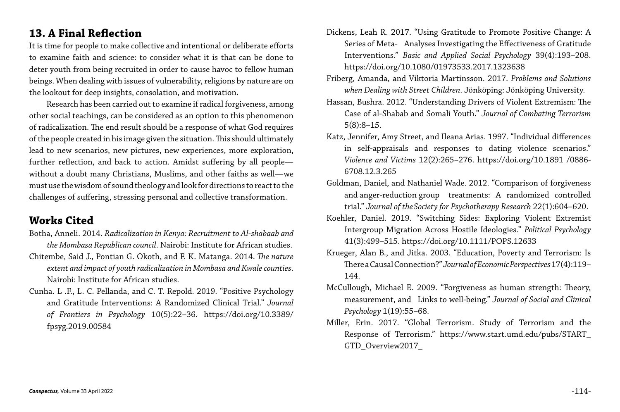#### **13. A Final Reflection**

It is time for people to make collective and intentional or deliberate efforts to examine faith and science: to consider what it is that can be done to deter youth from being recruited in order to cause havoc to fellow human beings. When dealing with issues of vulnerability, religions by nature are on the lookout for deep insights, consolation, and motivation.

Research has been carried out to examine if radical forgiveness, among other social teachings, can be considered as an option to this phenomenon of radicalization. The end result should be a response of what God requires of the people created in his image given the situation. This should ultimately lead to new scenarios, new pictures, new experiences, more exploration, further reflection, and back to action. Amidst suffering by all people without a doubt many Christians, Muslims, and other faiths as well—we must use the wisdom of sound theology and look for directions to react to the challenges of suffering, stressing personal and collective transformation.

#### **Works Cited**

- Botha, Anneli. 2014. *Radicalization in Kenya: Recruitment to Al-shabaab and the Mombasa Republican council*. Nairobi: Institute for African studies.
- Chitembe, Said J., Pontian G. Okoth, and F. K. Matanga. 2014. *The nature extent and impact of youth radicalization in Mombasa and Kwale counties*. Nairobi: Institute for African studies.
- Cunha. L .F., L. C. Pellanda, and C. T. Repold. 2019. "Positive Psychology and Gratitude Interventions: A Randomized Clinical Trial." *Journal of Frontiers in Psychology* 10(5):22–36. https://doi.org/10.3389/ fpsyg.2019.00584

Dickens, Leah R. 2017. "Using Gratitude to Promote Positive Change: A Series of Meta- Analyses Investigating the Effectiveness of Gratitude Interventions." *Basic and Applied Social Psychology* 39(4):193–208.

Friberg, Amanda, and Viktoria Martinsson. 2017. *Problems and Solutions when Dealing with Street Children*. Jönköping: Jönköping University.

Hassan, Bushra. 2012. "Understanding Drivers of Violent Extremism: The Case of al-Shabab and Somali Youth." *Journal of Combating Terrorism*

Katz, Jennifer, Amy Street, and Ileana Arias. 1997. "Individual differences in self-appraisals and responses to dating violence scenarios." *Violence and Victims* 12(2):265–276. https://doi.org/10.1891 /0886-

Goldman, Daniel, and Nathaniel Wade. 2012. "Comparison of forgiveness and anger-reduction group treatments: A randomized controlled trial." *Journal of theSociety for Psychotherapy Research* 22(1):604–620.

- https://doi.org/10.1080/01973533.2017.1323638
	-
- 5(8):8–15.
- 6708.12.3.265
- 
- 
- 144.
- *Psychology* 1(19):55–68.
- GTD\_Overview2017\_

Koehler, Daniel. 2019. "Switching Sides: Exploring Violent Extremist Intergroup Migration Across Hostile Ideologies." *Political Psychology*  41(3):499–515. https://doi.org/10.1111/POPS.12633

Krueger, Alan B., and Jitka. 2003. "Education, Poverty and Terrorism: Is There a Causal Connection?" *Journal of Economic Perspectives* 17(4):119–

McCullough, Michael E. 2009. "Forgiveness as human strength: Theory, measurement, and Links to well-being." *Journal of Social and Clinical* 

Miller, Erin. 2017. "Global Terrorism. Study of Terrorism and the Response of Terrorism." https://www.start.umd.edu/pubs/START\_